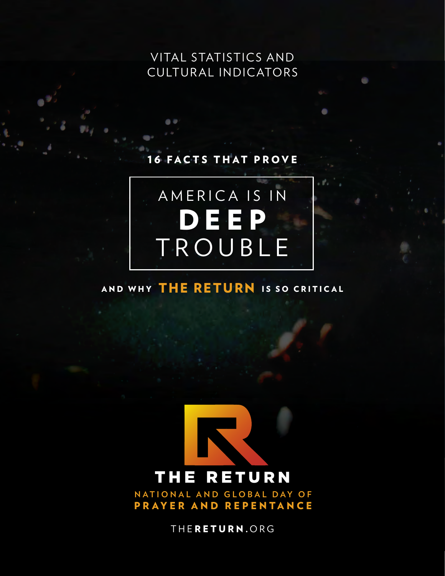VITAL STATISTICS AND CULTUR AL INDIC ATOR S

## FACTS THAT PROVE



# AND WHY THE RETURN IS SO CRITICAL



**NATIONAL AND GLOBAL DAY OF** PRAYER AND REPENTANCE

THE RETURN. ORG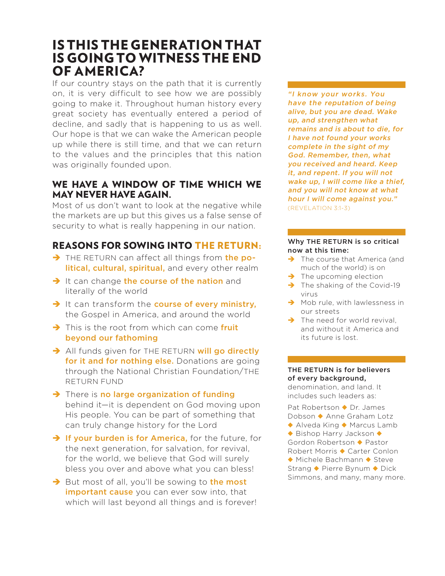# IS THIS THE GENERATION THAT IS GOING TO WITNESS THE END OF AMERICA?

If our country stays on the path that it is currently on, it is very difficult to see how we are possibly going to make it. Throughout human history every great society has eventually entered a period of decline, and sadly that is happening to us as well. Our hope is that we can wake the American people up while there is still time, and that we can return to the values and the principles that this nation was originally founded upon.

## WE HAVE A WINDOW OF TIME WHICH WE MAY NEVER HAVE AGAIN.

Most of us don't want to look at the negative while the markets are up but this gives us a false sense of security to what is really happening in our nation.

## REASONS FOR SOWING INTO THE RETURN:

- THE RETURN can affect all things from the political, cultural, spiritual, and every other realm
- $\rightarrow$  It can change the course of the nation and literally of the world
- $\rightarrow$  It can transform the course of every ministry, the Gospel in America, and around the world
- $\rightarrow$  This is the root from which can come fruit beyond our fathoming
- All funds given for THE RETURN will go directly for it and for nothing else. Donations are going through the National Christian Foundation/THE RETURN FUND
- $\rightarrow$  There is no large organization of funding behind it—it is dependent on God moving upon His people. You can be part of something that can truly change history for the Lord
- $\rightarrow$  If your burden is for America, for the future, for the next generation, for salvation, for revival, for the world, we believe that God will surely bless you over and above what you can bless!
- $\rightarrow$  But most of all, you'll be sowing to the most important cause you can ever sow into, that which will last beyond all things and is forever!

"I know your works. You have the reputation of being alive, but you are dead. Wake up, and strengthen what remains and is about to die, for I have not found your works complete in the sight of my God. Remember, then, what you received and heard. Keep it, and repent. If you will not wake up, I will come like a thief, and you will not know at what hour I will come against you." (REVELATION 3:1-3)

#### Why THE RETURN is so critical now at this time:

- $\rightarrow$  The course that America (and much of the world) is on
- $\rightarrow$  The upcoming election
- $\rightarrow$  The shaking of the Covid-19 virus
- $\rightarrow$  Mob rule, with lawlessness in our streets
- $\rightarrow$  The need for world revival, and without it America and its future is lost.

#### THE RETURN is for believers of every background,

denomination, and land. It includes such leaders as:

Pat Robertson ◆ Dr. James Dobson ◆ Anne Graham Lotz ◆ Alveda King ◆ Marcus Lamb ◆ Bishop Harry Jackson ◆ Gordon Robertson ◆ Pastor Robert Morris ◆ Carter Conlon ◆ Michele Bachmann ◆ Steve Strang ◆ Pierre Bynum ◆ Dick Simmons, and many, many more.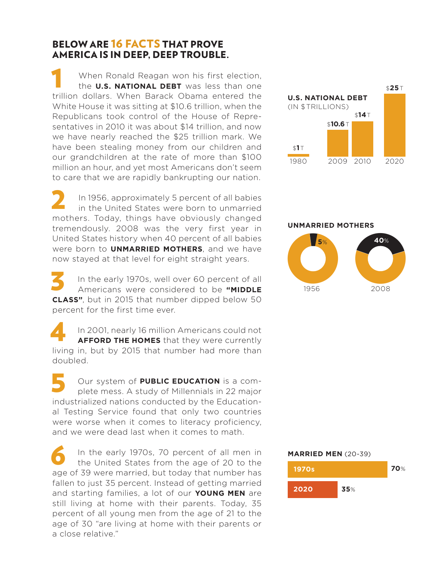## BELOW ARE 16 FACTS THAT PROVE AMERICA IS IN DEEP, DEEP TROUBLE.

When Ronald Reagan won his first election, the **U.S. NATIONAL DEBT** was less than one When Ronald Reagan won his first election,<br>the **U.S. NATIONAL DEBT** was less than one<br>trillion dollars. When Barack Obama entered the White House it was sitting at \$10.6 trillion, when the Republicans took control of the House of Representatives in 2010 it was about \$14 trillion, and now we have nearly reached the \$25 trillion mark. We have been stealing money from our children and our grandchildren at the rate of more than \$100 million an hour, and yet most Americans don't seem to care that we are rapidly bankrupting our nation.

In 1956, approximately 5 percent of all babies in the United States were born to unmarried mothers. Today, things have obviously changed tremendously. 2008 was the very first year in United States history when 40 percent of all babies were born to **UNMARRIED MOTHERS**, and we have now stayed at that level for eight straight years. 2

In the early 1970s, well over 60 percent of all Americans were considered to be **"MIDDLE CLASS"**, but in 2015 that number dipped below 50 percent for the first time ever. 3

In 2001, nearly 16 million Americans could not **AFFORD THE HOMES** that they were currently living in, but by 2015 that number had more than doubled. 4

Our system of **PUBLIC EDUCATION** is a complete mess. A study of Millennials in 22 major industrialized nations conducted by the Educational Testing Service found that only two countries were worse when it comes to literacy proficiency, and we were dead last when it comes to math. 5

In the early 1970s, 70 percent of all men in the United States from the age of 20 to the In the early 1970s, 70 percent of all men in<br>the United States from the age of 20 to the<br>age of 39 were married, but today that number has fallen to just 35 percent. Instead of getting married and starting families, a lot of our **YOUNG MEN** are still living at home with their parents. Today, 35 percent of all young men from the age of 21 to the age of 30 "are living at home with their parents or a close relative."



#### **UNMARRIED MOTHERS**



## **MARRIED MEN** (20-39) **70**% **1970s**

**2020**

**35**%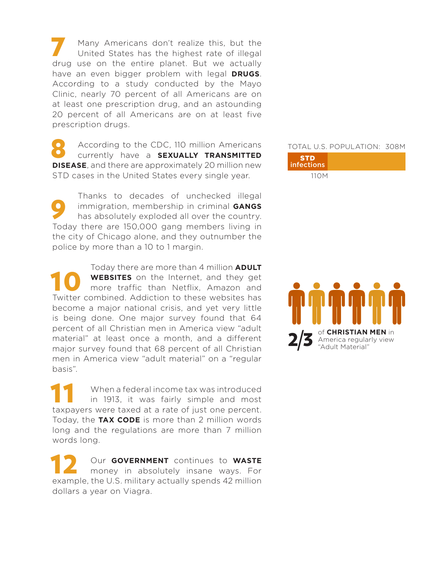Many Americans don't realize this, but the United States has the highest rate of illegal Many Americans don't realize this, but the<br>United States has the highest rate of illegal<br>drug use on the entire planet. But we actually have an even bigger problem with legal **DRUGS**. According to a study conducted by the Mayo Clinic, nearly 70 percent of all Americans are on at least one prescription drug, and an astounding 20 percent of all Americans are on at least five prescription drugs.

According to the CDC, 110 million Americans currently have a **SEXUALLY TRANSMITTED D** According to the CDC, 110 million Americans<br>
currently have a **SEXUALLY TRANSMITTED**<br> **DISEASE**, and there are approximately 20 million new STD cases in the United States every single year.

Thanks to decades of unchecked illegal immigration, membership in criminal **GANGS** has absolutely exploded all over the country. Today there are 150,000 gang members living in the city of Chicago alone, and they outnumber the police by more than a 10 to 1 margin. 9

Today there are more than 4 million **ADULT WEBSITES** on the Internet, and they get more traffic than Netflix, Amazon and Today there are more than 4 million ADULI<br> **The WEBSITES** on the Internet, and they get<br>
more traffic than Netflix, Amazon and<br>
Twitter combined. Addiction to these websites has become a major national crisis, and yet very little is being done. One major survey found that 64 percent of all Christian men in America view "adult material" at least once a month, and a different major survey found that 68 percent of all Christian men in America view "adult material" on a "regular basis".

When a federal income tax was introduced in 1913, it was fairly simple and most The When a federal income tax was introduced<br>
in 1913, it was fairly simple and most<br>
taxpayers were taxed at a rate of just one percent. Today, the **TAX CODE** is more than 2 million words long and the regulations are more than 7 million words long.

Our **GOVERNMENT** continues to **WASTE** money in absolutely insane ways. For 12 Our GOVERNMENT continues to WASTE<br>
money in absolutely insane ways. For<br>
example, the U.S. military actually spends 42 million dollars a year on Viagra.

### TOTAL U.S. POPULATION: 308M



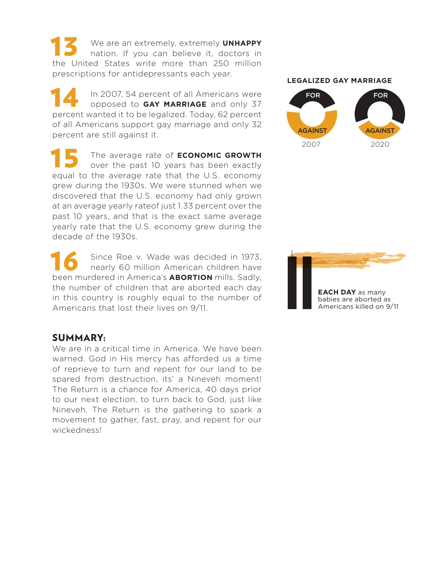We are an extremely, extremely **UNHAPPY** nation. If you can believe it, doctors in THE We are an extremely, extremely UNHAPPY<br>
nation. If you can believe it, doctors in<br>
the United States write more than 250 million prescriptions for antidepressants each year.

In 2007, 54 percent of all Americans were opposed to **GAY MARRIAGE** and only 37 In 2007, 54 percent of all Americans were<br>
opposed to **GAY MARRIAGE** and only 37<br>
percent wanted it to be legalized. Today, 62 percent of all Americans support gay marriage and only 32 percent are still against it.

The average rate of **ECONOMIC GROWTH** over the past 10 years has been exactly The average rate of **ECONOMIC GROWTH**<br>over the past 10 years has been exactly<br>equal to the average rate that the U.S. economy grew during the 1930s. We were stunned when we discovered that the U.S. economy had only grown at an average yearly rateof just 1.33 percent over the past 10 years, and that is the exact same average yearly rate that the U.S. economy grew during the decade of the 1930s.

Since Roe v. Wade was decided in 1973, nearly 60 million American children have Since Roe v. Wade was decided in 1973, nearly 60 million American children have been murdered in America's **ABORTION** mills. Sadly, the number of children that are aborted each day in this country is roughly equal to the number of Americans that lost their lives on 9/11.

#### **LEGALIZED GAY MARRIAGE**





### SUMMARY:

We are in a critical time in America. We have been warned. God in His mercy has afforded us a time of reprieve to turn and repent for our land to be spared from destruction, its' a Nineveh moment! The Return is a chance for America, 40 days prior to our next election, to turn back to God, just like Nineveh. The Return is the gathering to spark a movement to gather, fast, pray, and repent for our wickedness!